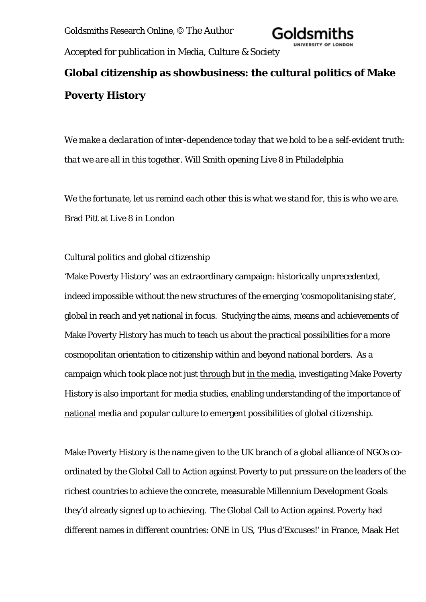Goldsmiths Research Online, © The Author



Accepted for publication in Media, Culture & Society

# **Global citizenship as showbusiness: the cultural politics of Make Poverty History**

*We make a declaration of inter-dependence today that we hold to be a self-evident truth: that we are all in this together.* Will Smith opening Live 8 in Philadelphia

*We the fortunate, let us remind each other this is what we stand for, this is who we are.* Brad Pitt at Live 8 in London

# Cultural politics and global citizenship

'Make Poverty History' was an extraordinary campaign: historically unprecedented, indeed impossible without the new structures of the emerging 'cosmopolitanising state', global in reach and yet national in focus. Studying the aims, means and achievements of Make Poverty History has much to teach us about the practical possibilities for a more cosmopolitan orientation to citizenship within and beyond national borders. As a campaign which took place not just through but in the media, investigating Make Poverty History is also important for media studies, enabling understanding of the importance of national media and popular culture to emergent possibilities of global citizenship.

Make Poverty History is the name given to the UK branch of a global alliance of NGOs coordinated by the Global Call to Action against Poverty to put pressure on the leaders of the richest countries to achieve the concrete, measurable Millennium Development Goals they'd already signed up to achieving. The Global Call to Action against Poverty had different names in different countries: ONE in US, 'Plus d'Excuses!' in France, Maak Het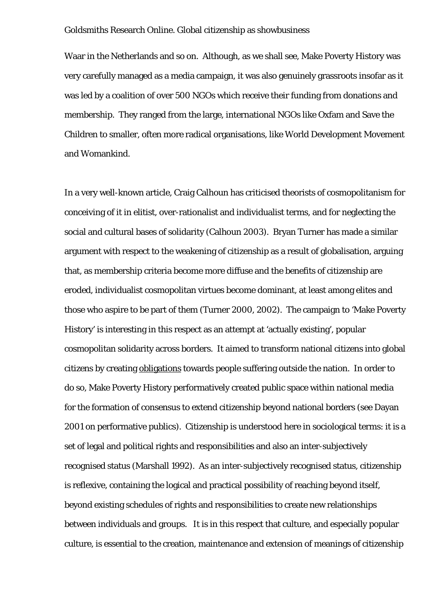Waar in the Netherlands and so on. Although, as we shall see, Make Poverty History was very carefully managed as a media campaign, it was also genuinely grassroots insofar as it was led by a coalition of over 500 NGOs which receive their funding from donations and membership. They ranged from the large, international NGOs like Oxfam and Save the Children to smaller, often more radical organisations, like World Development Movement and Womankind.

In a very well-known article, Craig Calhoun has criticised theorists of cosmopolitanism for conceiving of it in elitist, over-rationalist and individualist terms, and for neglecting the social and cultural bases of solidarity (Calhoun 2003). Bryan Turner has made a similar argument with respect to the weakening of citizenship as a result of globalisation, arguing that, as membership criteria become more diffuse and the benefits of citizenship are eroded, individualist cosmopolitan virtues become dominant, at least among elites and those who aspire to be part of them (Turner 2000, 2002). The campaign to 'Make Poverty History' is interesting in this respect as an attempt at 'actually existing', popular cosmopolitan solidarity across borders. It aimed to transform national citizens into global citizens by creating obligations towards people suffering outside the nation. In order to do so, Make Poverty History performatively created public space within national media for the formation of consensus to extend citizenship beyond national borders (see Dayan 2001 on performative publics). Citizenship is understood here in sociological terms: it is a set of legal and political rights and responsibilities and also an inter-subjectively recognised status (Marshall 1992). As an inter-subjectively recognised status, citizenship is reflexive, containing the logical and practical possibility of reaching beyond itself, beyond existing schedules of rights and responsibilities to create new relationships between individuals and groups. It is in this respect that culture, and especially popular culture, is essential to the creation, maintenance and extension of meanings of citizenship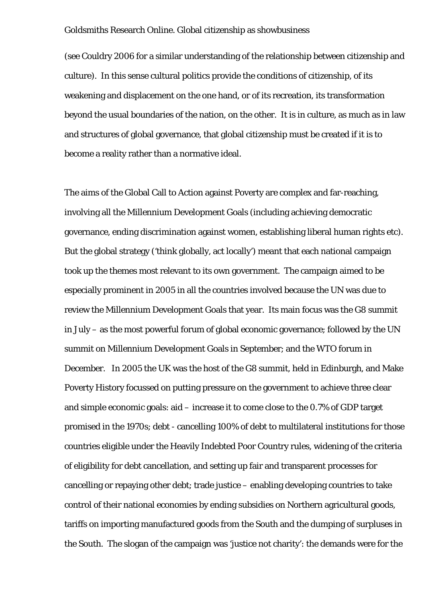(see Couldry 2006 for a similar understanding of the relationship between citizenship and culture). In this sense cultural politics provide the conditions of citizenship, of its weakening and displacement on the one hand, or of its recreation, its transformation beyond the usual boundaries of the nation, on the other. It is in culture, as much as in law and structures of global governance, that global citizenship must be created if it is to become a reality rather than a normative ideal.

The aims of the Global Call to Action against Poverty are complex and far-reaching, involving all the Millennium Development Goals (including achieving democratic governance, ending discrimination against women, establishing liberal human rights etc). But the global strategy ('think globally, act locally') meant that each national campaign took up the themes most relevant to its own government. The campaign aimed to be especially prominent in 2005 in all the countries involved because the UN was due to review the Millennium Development Goals that year. Its main focus was the G8 summit in July – as the most powerful forum of global economic governance; followed by the UN summit on Millennium Development Goals in September; and the WTO forum in December. In 2005 the UK was the host of the G8 summit, held in Edinburgh, and Make Poverty History focussed on putting pressure on the government to achieve three clear and simple economic goals: aid – increase it to come close to the 0.7% of GDP target promised in the 1970s; debt - cancelling 100% of debt to multilateral institutions for those countries eligible under the Heavily Indebted Poor Country rules, widening of the criteria of eligibility for debt cancellation, and setting up fair and transparent processes for cancelling or repaying other debt; trade justice – enabling developing countries to take control of their national economies by ending subsidies on Northern agricultural goods, tariffs on importing manufactured goods from the South and the dumping of surpluses in the South. The slogan of the campaign was 'justice not charity': the demands were for the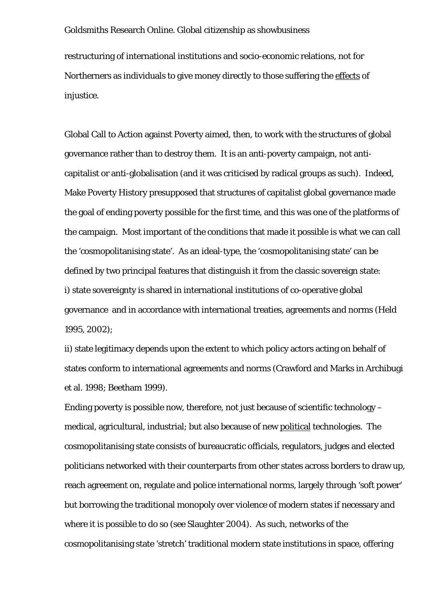restructuring of international institutions and socio-economic relations, not for Northerners as individuals to give money directly to those suffering the effects of injustice.

Global Call to Action against Poverty aimed, then, to work with the structures of global governance rather than to destroy them. It is an anti-poverty campaign, not anticapitalist or anti-globalisation (and it was criticised by radical groups as such). Indeed, Make Poverty History presupposed that structures of capitalist global governance made the goal of ending poverty possible for the first time, and this was one of the platforms of the campaign. Most important of the conditions that made it possible is what we can call the 'cosmopolitanising state'. As an ideal-type, the 'cosmopolitanising state' can be defined by two principal features that distinguish it from the classic sovereign state: i) state sovereignty is shared in international institutions of co-operative global governance and in accordance with international treaties, agreements and norms (Held 1995, 2002);

ii) state legitimacy depends upon the extent to which policy actors acting on behalf of states conform to international agreements and norms (Crawford and Marks in Archibugi et al. 1998; Beetham 1999).

Ending poverty is possible now, therefore, not just because of scientific technology – medical, agricultural, industrial; but also because of new political technologies. The cosmopolitanising state consists of bureaucratic officials, regulators, judges and elected politicians networked with their counterparts from other states across borders to draw up, reach agreement on, regulate and police international norms, largely through 'soft power' but borrowing the traditional monopoly over violence of modern states if necessary and where it is possible to do so (see Slaughter 2004). As such, networks of the cosmopolitanising state 'stretch' traditional modern state institutions in space, offering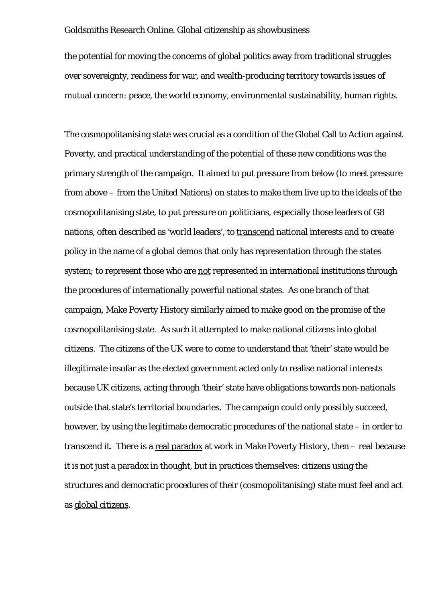the potential for moving the concerns of global politics away from traditional struggles over sovereignty, readiness for war, and wealth-producing territory towards issues of mutual concern: peace, the world economy, environmental sustainability, human rights.

The cosmopolitanising state was crucial as a condition of the Global Call to Action against Poverty, and practical understanding of the potential of these new conditions was the primary strength of the campaign. It aimed to put pressure from below (to meet pressure from above – from the United Nations) on states to make them live up to the ideals of the cosmopolitanising state, to put pressure on politicians, especially those leaders of G8 nations, often described as 'world leaders', to transcend national interests and to create policy in the name of a global demos that only has representation through the states system; to represent those who are not represented in international institutions through the procedures of internationally powerful national states. As one branch of that campaign, Make Poverty History similarly aimed to make good on the promise of the cosmopolitanising state. As such it attempted to make national citizens into global citizens. The citizens of the UK were to come to understand that 'their' state would be illegitimate insofar as the elected government acted only to realise national interests because UK citizens, acting through 'their' state have obligations towards non-nationals outside that state's territorial boundaries. The campaign could only possibly succeed, however, by using the legitimate democratic procedures of the national state – in order to transcend it. There is a real paradox at work in Make Poverty History, then – real because it is not just a paradox in thought, but in practices themselves: citizens using the structures and democratic procedures of their (cosmopolitanising) state must feel and act as global citizens.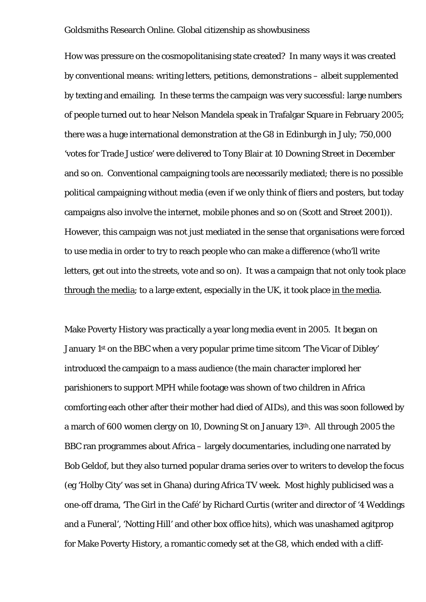How was pressure on the cosmopolitanising state created? In many ways it was created by conventional means: writing letters, petitions, demonstrations – albeit supplemented by texting and emailing. In these terms the campaign was very successful: large numbers of people turned out to hear Nelson Mandela speak in Trafalgar Square in February 2005; there was a huge international demonstration at the G8 in Edinburgh in July; 750,000 'votes for Trade Justice' were delivered to Tony Blair at 10 Downing Street in December and so on. Conventional campaigning tools are necessarily mediated; there is no possible political campaigning without media (even if we only think of fliers and posters, but today campaigns also involve the internet, mobile phones and so on (Scott and Street 2001)). However, this campaign was not just mediated in the sense that organisations were forced to use media in order to try to reach people who can make a difference (who'll write letters, get out into the streets, vote and so on). It was a campaign that not only took place through the media; to a large extent, especially in the UK, it took place in the media.

Make Poverty History was practically a year long media event in 2005. It began on January 1st on the BBC when a very popular prime time sitcom 'The Vicar of Dibley' introduced the campaign to a mass audience (the main character implored her parishioners to support MPH while footage was shown of two children in Africa comforting each other after their mother had died of AIDs), and this was soon followed by a march of 600 women clergy on 10, Downing St on January 13th. All through 2005 the BBC ran programmes about Africa – largely documentaries, including one narrated by Bob Geldof, but they also turned popular drama series over to writers to develop the focus (eg 'Holby City' was set in Ghana) during Africa TV week. Most highly publicised was a one-off drama, 'The Girl in the Café' by Richard Curtis (writer and director of '4 Weddings and a Funeral', 'Notting Hill' and other box office hits), which was unashamed agitprop for Make Poverty History, a romantic comedy set at the G8, which ended with a cliff-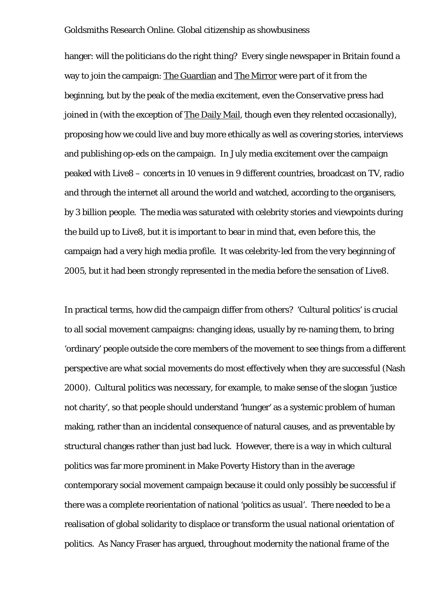hanger: will the politicians do the right thing? Every single newspaper in Britain found a way to join the campaign: The Guardian and The Mirror were part of it from the beginning, but by the peak of the media excitement, even the Conservative press had joined in (with the exception of The Daily Mail, though even they relented occasionally), proposing how we could live and buy more ethically as well as covering stories, interviews and publishing op-eds on the campaign. In July media excitement over the campaign peaked with Live8 – concerts in 10 venues in 9 different countries, broadcast on TV, radio and through the internet all around the world and watched, according to the organisers, by 3 billion people. The media was saturated with celebrity stories and viewpoints during the build up to Live8, but it is important to bear in mind that, even before this, the campaign had a very high media profile. It was celebrity-led from the very beginning of 2005, but it had been strongly represented in the media before the sensation of Live8.

In practical terms, how did the campaign differ from others? 'Cultural politics' is crucial to all social movement campaigns: changing ideas, usually by re-naming them, to bring 'ordinary' people outside the core members of the movement to see things from a different perspective are what social movements do most effectively when they are successful (Nash 2000). Cultural politics was necessary, for example, to make sense of the slogan 'justice not charity', so that people should understand 'hunger' as a systemic problem of human making, rather than an incidental consequence of natural causes, and as preventable by structural changes rather than just bad luck. However, there is a way in which cultural politics was far more prominent in Make Poverty History than in the average contemporary social movement campaign because it could only possibly be successful if there was a complete reorientation of national 'politics as usual'. There needed to be a realisation of global solidarity to displace or transform the usual national orientation of politics. As Nancy Fraser has argued, throughout modernity the national frame of the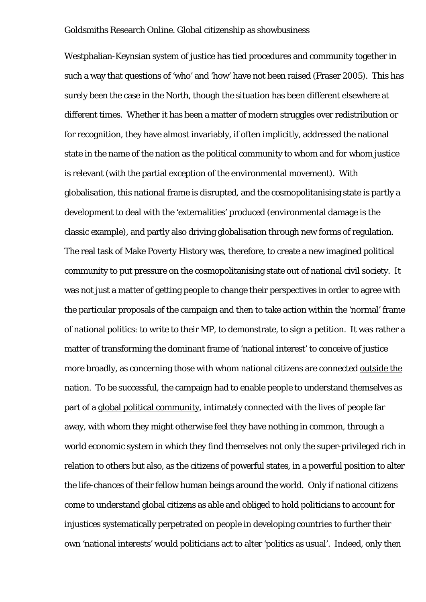Westphalian-Keynsian system of justice has tied procedures and community together in such a way that questions of 'who' and 'how' have not been raised (Fraser 2005). This has surely been the case in the North, though the situation has been different elsewhere at different times. Whether it has been a matter of modern struggles over redistribution or for recognition, they have almost invariably, if often implicitly, addressed the national state in the name of the nation as the political community to whom and for whom justice is relevant (with the partial exception of the environmental movement). With globalisation, this national frame is disrupted, and the cosmopolitanising state is partly a development to deal with the 'externalities' produced (environmental damage is the classic example), and partly also driving globalisation through new forms of regulation. The real task of Make Poverty History was, therefore, to create a new imagined political community to put pressure on the cosmopolitanising state out of national civil society. It was not just a matter of getting people to change their perspectives in order to agree with the particular proposals of the campaign and then to take action within the 'normal' frame of national politics: to write to their MP, to demonstrate, to sign a petition. It was rather a matter of transforming the dominant frame of 'national interest' to conceive of justice more broadly, as concerning those with whom national citizens are connected outside the nation. To be successful, the campaign had to enable people to understand themselves as part of a global political community, intimately connected with the lives of people far away, with whom they might otherwise feel they have nothing in common, through a world economic system in which they find themselves not only the super-privileged rich in relation to others but also, as the citizens of powerful states, in a powerful position to alter the life-chances of their fellow human beings around the world. Only if national citizens come to understand global citizens as able and obliged to hold politicians to account for injustices systematically perpetrated on people in developing countries to further their own 'national interests' would politicians act to alter 'politics as usual'. Indeed, only then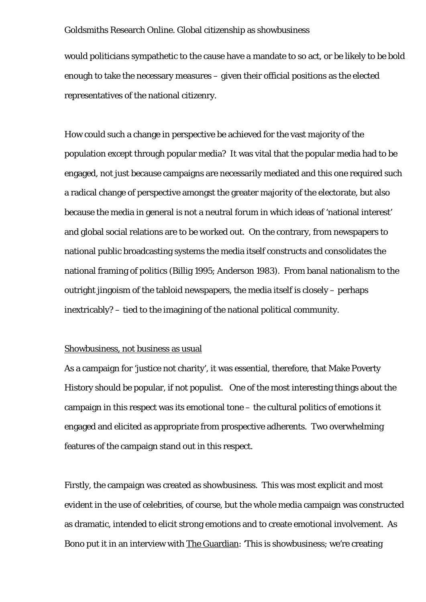would politicians sympathetic to the cause have a mandate to so act, or be likely to be bold enough to take the necessary measures – given their official positions as the elected representatives of the national citizenry.

How could such a change in perspective be achieved for the vast majority of the population except through popular media? It was vital that the popular media had to be engaged, not just because campaigns are necessarily mediated and this one required such a radical change of perspective amongst the greater majority of the electorate, but also because the media in general is not a neutral forum in which ideas of 'national interest' and global social relations are to be worked out. On the contrary, from newspapers to national public broadcasting systems the media itself constructs and consolidates the national framing of politics (Billig 1995; Anderson 1983). From banal nationalism to the outright jingoism of the tabloid newspapers, the media itself is closely – perhaps inextricably? – tied to the imagining of the national political community.

# Showbusiness, not business as usual

As a campaign for 'justice not charity', it was essential, therefore, that Make Poverty History should be popular, if not populist. One of the most interesting things about the campaign in this respect was its emotional tone – the cultural politics of emotions it engaged and elicited as appropriate from prospective adherents. Two overwhelming features of the campaign stand out in this respect.

Firstly, the campaign was created as showbusiness. This was most explicit and most evident in the use of celebrities, of course, but the whole media campaign was constructed as dramatic, intended to elicit strong emotions and to create emotional involvement. As Bono put it in an interview with The Guardian: 'This is showbusiness; we're creating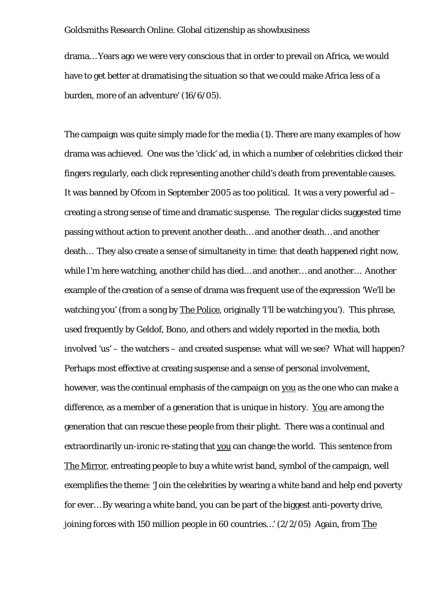drama… Years ago we were very conscious that in order to prevail on Africa, we would have to get better at dramatising the situation so that we could make Africa less of a burden, more of an adventure' (16/6/05).

The campaign was quite simply made for the media (1). There are many examples of how drama was achieved. One was the 'click' ad, in which a number of celebrities clicked their fingers regularly, each click representing another child's death from preventable causes. It was banned by Ofcom in September 2005 as too political. It was a very powerful ad – creating a strong sense of time and dramatic suspense. The regular clicks suggested time passing without action to prevent another death… and another death… and another death… They also create a sense of simultaneity in time: that death happened right now, while I'm here watching, another child has died… and another… and another… Another example of the creation of a sense of drama was frequent use of the expression 'We'll be watching you' (from a song by The Police, originally 'I'll be watching you'). This phrase, used frequently by Geldof, Bono, and others and widely reported in the media, both involved 'us' – the watchers – and created suspense: what will we see? What will happen? Perhaps most effective at creating suspense and a sense of personal involvement, however, was the continual emphasis of the campaign on you as the one who can make a difference, as a member of a generation that is unique in history. You are among the generation that can rescue these people from their plight. There was a continual and extraordinarily un-ironic re-stating that you can change the world. This sentence from The Mirror, entreating people to buy a white wrist band, symbol of the campaign, well exemplifies the theme: 'Join the celebrities by wearing a white band and help end poverty for ever… By wearing a white band, you can be part of the biggest anti-poverty drive, joining forces with 150 million people in 60 countries…' (2/2/05) Again, from The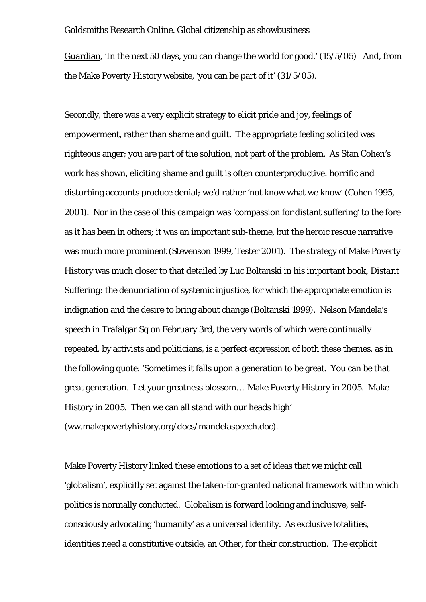Guardian, 'In the next 50 days, you can change the world for good.' (15/5/05)And, from the Make Poverty History website, 'you can be part of it' (31/5/05).

Secondly, there was a very explicit strategy to elicit pride and joy, feelings of empowerment, rather than shame and guilt. The appropriate feeling solicited was righteous anger; you are part of the solution, not part of the problem. As Stan Cohen's work has shown, eliciting shame and guilt is often counterproductive: horrific and disturbing accounts produce denial; we'd rather 'not know what we know' (Cohen 1995, 2001). Nor in the case of this campaign was 'compassion for distant suffering' to the fore as it has been in others; it was an important sub-theme, but the heroic rescue narrative was much more prominent (Stevenson 1999, Tester 2001). The strategy of Make Poverty History was much closer to that detailed by Luc Boltanski in his important book, *Distant Suffering*: the denunciation of systemic injustice, for which the appropriate emotion is indignation and the desire to bring about change (Boltanski 1999). Nelson Mandela's speech in Trafalgar Sq on February 3rd, the very words of which were continually repeated, by activists and politicians, is a perfect expression of both these themes, as in the following quote: 'Sometimes it falls upon a generation to be great. You can be that great generation. Let your greatness blossom… Make Poverty History in 2005. Make History in 2005. Then we can all stand with our heads high' (ww.makepovertyhistory.org/docs/mandelaspeech.doc).

Make Poverty History linked these emotions to a set of ideas that we might call 'globalism', explicitly set against the taken-for-granted national framework within which politics is normally conducted. Globalism is forward looking and inclusive, selfconsciously advocating 'humanity' as a universal identity. As exclusive totalities, identities need a constitutive outside, an Other, for their construction. The explicit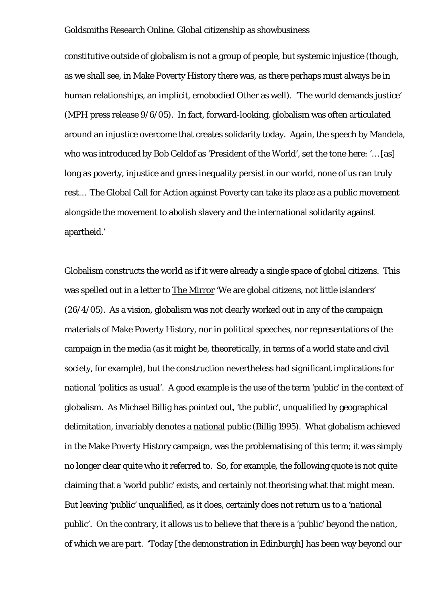constitutive outside of globalism is not a group of people, but systemic injustice (though, as we shall see, in Make Poverty History there was, as there perhaps must always be in human relationships, an implicit, emobodied Other as well). 'The world demands justice' (MPH press release 9/6/05). In fact, forward-looking, globalism was often articulated around an injustice overcome that creates solidarity today. Again, the speech by Mandela, who was introduced by Bob Geldof as 'President of the World', set the tone here: '… [as] long as poverty, injustice and gross inequality persist in our world, none of us can truly rest… The Global Call for Action against Poverty can take its place as a public movement alongside the movement to abolish slavery and the international solidarity against apartheid.'

Globalism constructs the world as if it were already a single space of global citizens. This was spelled out in a letter to The Mirror 'We are global citizens, not little islanders' (26/4/05). As a vision, globalism was not clearly worked out in any of the campaign materials of Make Poverty History, nor in political speeches, nor representations of the campaign in the media (as it might be, theoretically, in terms of a world state and civil society, for example), but the construction nevertheless had significant implications for national 'politics as usual'. A good example is the use of the term 'public' in the context of globalism. As Michael Billig has pointed out, 'the public', unqualified by geographical delimitation, invariably denotes a national public (Billig 1995). What globalism achieved in the Make Poverty History campaign, was the problematising of this term; it was simply no longer clear quite who it referred to. So, for example, the following quote is not quite claiming that a 'world public' exists, and certainly not theorising what that might mean. But leaving 'public' unqualified, as it does, certainly does not return us to a 'national public'. On the contrary, it allows us to believe that there is a 'public' beyond the nation, of which we are part. 'Today [the demonstration in Edinburgh] has been way beyond our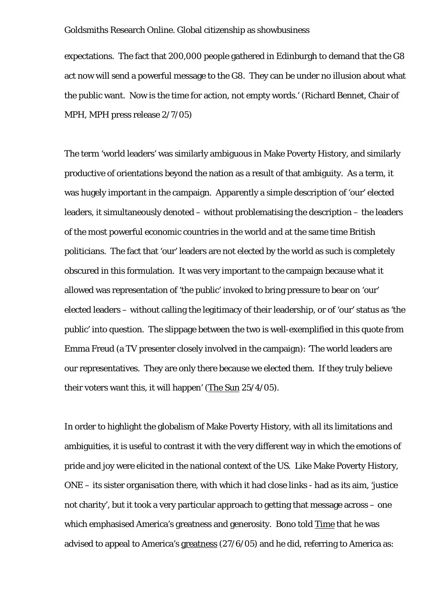expectations. The fact that 200,000 people gathered in Edinburgh to demand that the G8 act now will send a powerful message to the G8. They can be under no illusion about what the public want. Now is the time for action, not empty words.' (Richard Bennet, Chair of MPH, MPH press release 2/7/05)

The term 'world leaders' was similarly ambiguous in Make Poverty History, and similarly productive of orientations beyond the nation as a result of that ambiguity. As a term, it was hugely important in the campaign. Apparently a simple description of 'our' elected leaders, it simultaneously denoted – without problematising the description – the leaders of the most powerful economic countries in the world and at the same time British politicians. The fact that 'our' leaders are not elected by the world as such is completely obscured in this formulation. It was very important to the campaign because what it allowed was representation of 'the public' invoked to bring pressure to bear on 'our' elected leaders – without calling the legitimacy of their leadership, or of 'our' status as 'the public' into question. The slippage between the two is well-exemplified in this quote from Emma Freud (a TV presenter closely involved in the campaign): 'The world leaders are our representatives. They are only there because we elected them. If they truly believe their voters want this, it will happen' (The Sun 25/4/05).

In order to highlight the globalism of Make Poverty History, with all its limitations and ambiguities, it is useful to contrast it with the very different way in which the emotions of pride and joy were elicited in the national context of the US. Like Make Poverty History, ONE – its sister organisation there, with which it had close links - had as its aim, 'justice not charity', but it took a very particular approach to getting that message across – one which emphasised America's greatness and generosity. Bono told Time that he was advised to appeal to America's greatness (27/6/05) and he did, referring to America as: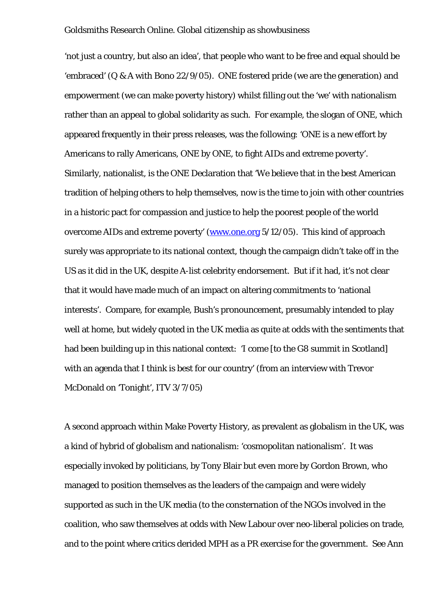'not just a country, but also an idea', that people who want to be free and equal should be 'embraced' (Q & A with Bono 22/9/05). ONE fostered pride (we are the generation) and empowerment (we can make poverty history) whilst filling out the 'we' with nationalism rather than an appeal to global solidarity as such. For example, the slogan of ONE, which appeared frequently in their press releases, was the following: 'ONE is a new effort by Americans to rally Americans, ONE by ONE, to fight AIDs and extreme poverty'. Similarly, nationalist, is the ONE Declaration that 'We believe that in the best American tradition of helping others to help themselves, now is the time to join with other countries in a historic pact for compassion and justice to help the poorest people of the world overcome AIDs and extreme poverty' ([www.one.org](http://www.one.org/) 5/12/05). This kind of approach surely was appropriate to its national context, though the campaign didn't take off in the US as it did in the UK, despite A-list celebrity endorsement. But if it had, it's not clear that it would have made much of an impact on altering commitments to 'national interests'. Compare, for example, Bush's pronouncement, presumably intended to play well at home, but widely quoted in the UK media as quite at odds with the sentiments that had been building up in this national context: 'I come [to the G8 summit in Scotland] with an agenda that I think is best for our country' (from an interview with Trevor McDonald on 'Tonight', ITV 3/7/05)

A second approach within Make Poverty History, as prevalent as globalism in the UK, was a kind of hybrid of globalism and nationalism: 'cosmopolitan nationalism'. It was especially invoked by politicians, by Tony Blair but even more by Gordon Brown, who managed to position themselves as the leaders of the campaign and were widely supported as such in the UK media (to the consternation of the NGOs involved in the coalition, who saw themselves at odds with New Labour over neo-liberal policies on trade, and to the point where critics derided MPH as a PR exercise for the government. See Ann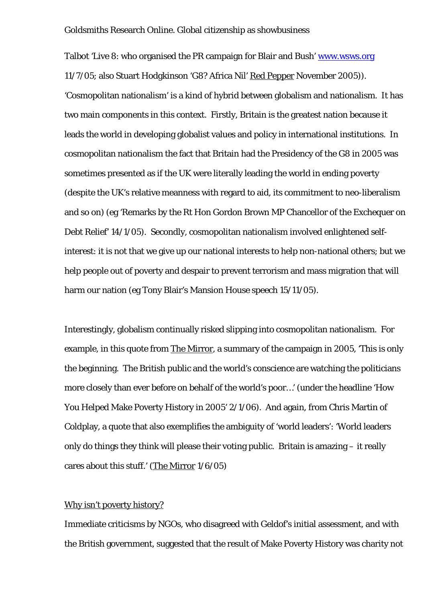Talbot 'Live 8: who organised the PR campaign for Blair and Bush' [www.wsws.org](http://www.wsws.org/) 11/7/05; also Stuart Hodgkinson 'G8? Africa Nil' Red Pepper November 2005)). 'Cosmopolitan nationalism' is a kind of hybrid between globalism and nationalism. It has two main components in this context. Firstly, Britain is the greatest nation because it leads the world in developing globalist values and policy in international institutions. In cosmopolitan nationalism the fact that Britain had the Presidency of the G8 in 2005 was sometimes presented as if the UK were literally leading the world in ending poverty (despite the UK's relative meanness with regard to aid, its commitment to neo-liberalism and so on) (eg 'Remarks by the Rt Hon Gordon Brown MP Chancellor of the Exchequer on Debt Relief' 14/1/05). Secondly, cosmopolitan nationalism involved enlightened selfinterest: it is not that we give up our national interests to help non-national others; but we help people out of poverty and despair to prevent terrorism and mass migration that will harm our nation (eg Tony Blair's Mansion House speech 15/11/05).

Interestingly, globalism continually risked slipping into cosmopolitan nationalism. For example, in this quote from The Mirror, a summary of the campaign in 2005, 'This is only the beginning. The British public and the world's conscience are watching the politicians more closely than ever before on behalf of the world's poor…' (under the headline 'How You Helped Make Poverty History in 2005' 2/1/06). And again, from Chris Martin of Coldplay, a quote that also exemplifies the ambiguity of 'world leaders': 'World leaders only do things they think will please their voting public. Britain is amazing – it really cares about this stuff.' (The Mirror 1/6/05)

# Why isn't poverty history?

Immediate criticisms by NGOs, who disagreed with Geldof's initial assessment, and with the British government, suggested that the result of Make Poverty History was charity not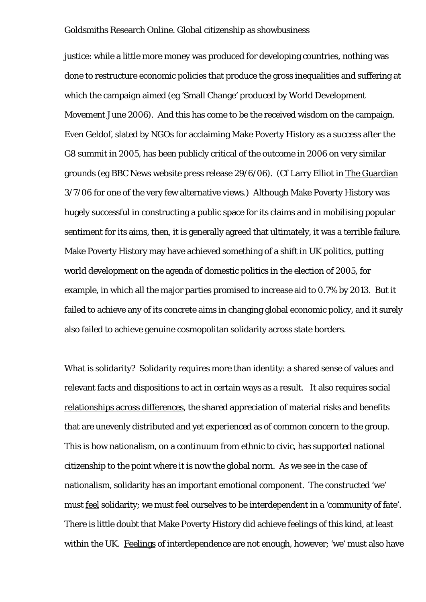justice: while a little more money was produced for developing countries, nothing was done to restructure economic policies that produce the gross inequalities and suffering at which the campaign aimed (eg 'Small Change' produced by World Development Movement June 2006). And this has come to be the received wisdom on the campaign. Even Geldof, slated by NGOs for acclaiming Make Poverty History as a success after the G8 summit in 2005, has been publicly critical of the outcome in 2006 on very similar grounds (eg BBC News website press release 29/6/06). (Cf Larry Elliot in The Guardian 3/7/06 for one of the very few alternative views.) Although Make Poverty History was hugely successful in constructing a public space for its claims and in mobilising popular sentiment for its aims, then, it is generally agreed that ultimately, it was a terrible failure. Make Poverty History may have achieved something of a shift in UK politics, putting world development on the agenda of domestic politics in the election of 2005, for example, in which all the major parties promised to increase aid to 0.7% by 2013. But it failed to achieve any of its concrete aims in changing global economic policy, and it surely also failed to achieve genuine cosmopolitan solidarity across state borders.

What is solidarity? Solidarity requires more than identity: a shared sense of values and relevant facts and dispositions to act in certain ways as a result. It also requires social relationships across differences, the shared appreciation of material risks and benefits that are unevenly distributed and yet experienced as of common concern to the group. This is how nationalism, on a continuum from ethnic to civic, has supported national citizenship to the point where it is now the global norm. As we see in the case of nationalism, solidarity has an important emotional component. The constructed 'we' must feel solidarity; we must feel ourselves to be interdependent in a 'community of fate'. There is little doubt that Make Poverty History did achieve feelings of this kind, at least within the UK. Feelings of interdependence are not enough, however; 'we' must also have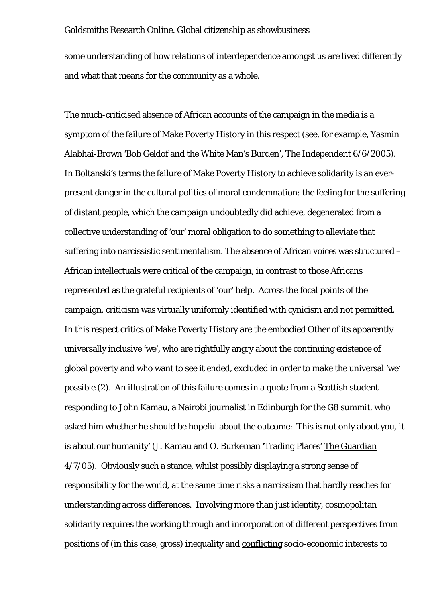some understanding of how relations of interdependence amongst us are lived differently and what that means for the community as a whole.

The much-criticised absence of African accounts of the campaign in the media is a symptom of the failure of Make Poverty History in this respect (see, for example, Yasmin Alabhai-Brown 'Bob Geldof and the White Man's Burden', The Independent 6/6/2005). In Boltanski's terms the failure of Make Poverty History to achieve solidarity is an everpresent danger in the cultural politics of moral condemnation: the feeling for the suffering of distant people, which the campaign undoubtedly did achieve, degenerated from a collective understanding of 'our' moral obligation to do something to alleviate that suffering into narcissistic sentimentalism. The absence of African voices was structured – African intellectuals were critical of the campaign, in contrast to those Africans represented as the grateful recipients of 'our' help. Across the focal points of the campaign, criticism was virtually uniformly identified with cynicism and not permitted. In this respect critics of Make Poverty History are the embodied Other of its apparently universally inclusive 'we', who are rightfully angry about the continuing existence of global poverty and who want to see it ended, excluded in order to make the universal 'we' possible (2). An illustration of this failure comes in a quote from a Scottish student responding to John Kamau, a Nairobi journalist in Edinburgh for the G8 summit, who asked him whether he should be hopeful about the outcome: 'This is not only about you, it is about our humanity' (J. Kamau and O. Burkeman 'Trading Places' The Guardian 4/7/05). Obviously such a stance, whilst possibly displaying a strong sense of responsibility for the world, at the same time risks a narcissism that hardly reaches for understanding across differences. Involving more than just identity, cosmopolitan solidarity requires the working through and incorporation of different perspectives from positions of (in this case, gross) inequality and conflicting socio-economic interests to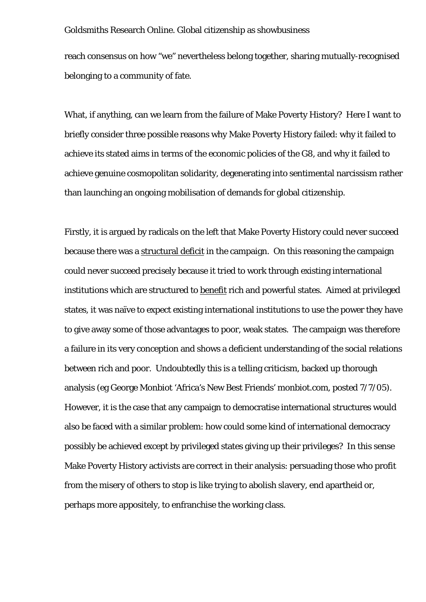reach consensus on how "we" nevertheless belong together, sharing mutually-recognised belonging to a community of fate.

What, if anything, can we learn from the failure of Make Poverty History? Here I want to briefly consider three possible reasons why Make Poverty History failed: why it failed to achieve its stated aims in terms of the economic policies of the G8, and why it failed to achieve genuine cosmopolitan solidarity, degenerating into sentimental narcissism rather than launching an ongoing mobilisation of demands for global citizenship.

Firstly, it is argued by radicals on the left that Make Poverty History could never succeed because there was a structural deficit in the campaign. On this reasoning the campaign could never succeed precisely because it tried to work through existing international institutions which are structured to benefit rich and powerful states. Aimed at privileged states, it was naïve to expect existing international institutions to use the power they have to give away some of those advantages to poor, weak states. The campaign was therefore a failure in its very conception and shows a deficient understanding of the social relations between rich and poor. Undoubtedly this is a telling criticism, backed up thorough analysis (eg George Monbiot 'Africa's New Best Friends' monbiot.com, posted 7/7/05). However, it is the case that any campaign to democratise international structures would also be faced with a similar problem: how could some kind of international democracy possibly be achieved except by privileged states giving up their privileges? In this sense Make Poverty History activists are correct in their analysis: persuading those who profit from the misery of others to stop is like trying to abolish slavery, end apartheid or, perhaps more appositely, to enfranchise the working class.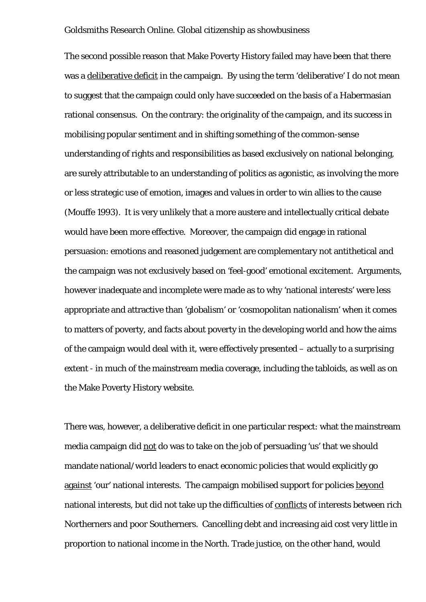The second possible reason that Make Poverty History failed may have been that there was a deliberative deficit in the campaign. By using the term 'deliberative' I do not mean to suggest that the campaign could only have succeeded on the basis of a Habermasian rational consensus. On the contrary: the originality of the campaign, and its success in mobilising popular sentiment and in shifting something of the common-sense understanding of rights and responsibilities as based exclusively on national belonging, are surely attributable to an understanding of politics as agonistic, as involving the more or less strategic use of emotion, images and values in order to win allies to the cause (Mouffe 1993). It is very unlikely that a more austere and intellectually critical debate would have been more effective. Moreover, the campaign did engage in rational persuasion: emotions and reasoned judgement are complementary not antithetical and the campaign was not exclusively based on 'feel-good' emotional excitement. Arguments, however inadequate and incomplete were made as to why 'national interests' were less appropriate and attractive than 'globalism' or 'cosmopolitan nationalism' when it comes to matters of poverty, and facts about poverty in the developing world and how the aims of the campaign would deal with it, were effectively presented – actually to a surprising extent - in much of the mainstream media coverage, including the tabloids, as well as on the Make Poverty History website.

There was, however, a deliberative deficit in one particular respect: what the mainstream media campaign did not do was to take on the job of persuading 'us' that we should mandate national/world leaders to enact economic policies that would explicitly go against 'our' national interests. The campaign mobilised support for policies beyond national interests, but did not take up the difficulties of conflicts of interests between rich Northerners and poor Southerners. Cancelling debt and increasing aid cost very little in proportion to national income in the North. Trade justice, on the other hand, would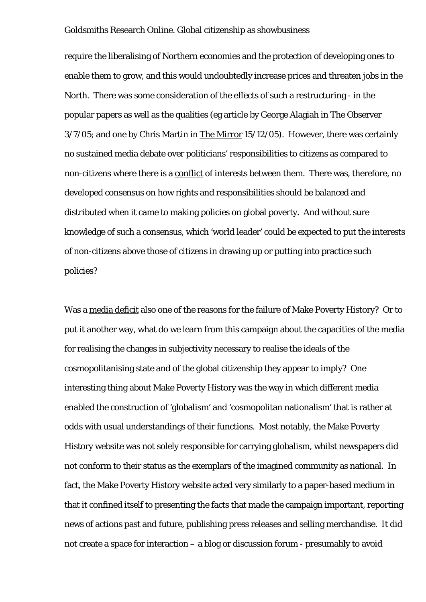require the liberalising of Northern economies and the protection of developing ones to enable them to grow, and this would undoubtedly increase prices and threaten jobs in the North. There was some consideration of the effects of such a restructuring - in the popular papers as well as the qualities (eg article by George Alagiah in The Observer 3/7/05; and one by Chris Martin in The Mirror 15/12/05). However, there was certainly no sustained media debate over politicians' responsibilities to citizens as compared to non-citizens where there is a conflict of interests between them. There was, therefore, no developed consensus on how rights and responsibilities should be balanced and distributed when it came to making policies on global poverty. And without sure knowledge of such a consensus, which 'world leader' could be expected to put the interests of non-citizens above those of citizens in drawing up or putting into practice such policies?

Was a media deficit also one of the reasons for the failure of Make Poverty History? Or to put it another way, what do we learn from this campaign about the capacities of the media for realising the changes in subjectivity necessary to realise the ideals of the cosmopolitanising state and of the global citizenship they appear to imply? One interesting thing about Make Poverty History was the way in which different media enabled the construction of 'globalism' and 'cosmopolitan nationalism' that is rather at odds with usual understandings of their functions. Most notably, the Make Poverty History website was not solely responsible for carrying globalism, whilst newspapers did not conform to their status as the exemplars of the imagined community as national. In fact, the Make Poverty History website acted very similarly to a paper-based medium in that it confined itself to presenting the facts that made the campaign important, reporting news of actions past and future, publishing press releases and selling merchandise. It did not create a space for interaction – a blog or discussion forum - presumably to avoid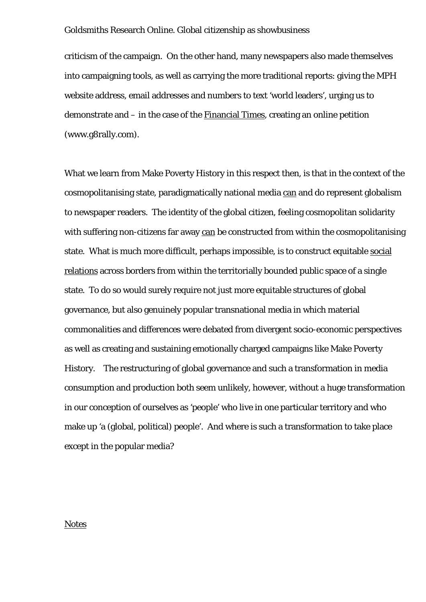criticism of the campaign. On the other hand, many newspapers also made themselves into campaigning tools, as well as carrying the more traditional reports: giving the MPH website address, email addresses and numbers to text 'world leaders', urging us to demonstrate and – in the case of the Financial Times, creating an online petition (www.g8rally.com).

What we learn from Make Poverty History in this respect then, is that in the context of the cosmopolitanising state, paradigmatically national media can and do represent globalism to newspaper readers. The identity of the global citizen, feeling cosmopolitan solidarity with suffering non-citizens far away can be constructed from within the cosmopolitanising state. What is much more difficult, perhaps impossible, is to construct equitable social relations across borders from within the territorially bounded public space of a single state. To do so would surely require not just more equitable structures of global governance, but also genuinely popular transnational media in which material commonalities and differences were debated from divergent socio-economic perspectives as well as creating and sustaining emotionally charged campaigns like Make Poverty History. The restructuring of global governance and such a transformation in media consumption and production both seem unlikely, however, without a huge transformation in our conception of ourselves as 'people' who live in one particular territory and who make up 'a (global, political) people'. And where is such a transformation to take place except in the popular media?

# **Notes**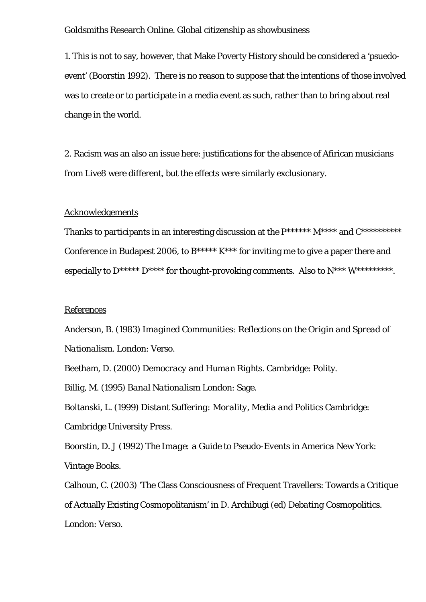1. This is not to say, however, that Make Poverty History should be considered a 'psuedoevent' (Boorstin 1992). There is no reason to suppose that the intentions of those involved was to create or to participate in a media event as such, rather than to bring about real change in the world.

2. Racism was an also an issue here: justifications for the absence of Afirican musicians from Live8 were different, but the effects were similarly exclusionary.

# Acknowledgements

Thanks to participants in an interesting discussion at the  $P******$   $M***$  and  $C******$ Conference in Budapest 2006, to  $B**** K***$  for inviting me to give a paper there and especially to  $D^{****}$   $D^{****}$  for thought-provoking comments. Also to  $N^{***}$   $W^{********}$ .

# References

Anderson, B. (1983) *Imagined Communities: Reflections on the Origin and Spread of Nationalism.* London: Verso.

Beetham, D. (2000) *Democracy and Human Rights.* Cambridge: Polity.

Billig, M. (1995) *Banal Nationalism* London: Sage.

Boltanski, L. (1999) *Distant Suffering: Morality, Media and Politics* Cambridge: Cambridge University Press.

Boorstin, D. J (1992) *The Image: a Guide to Pseudo-Events in America* New York: Vintage Books.

Calhoun, C. (2003) 'The Class Consciousness of Frequent Travellers: Towards a Critique of Actually Existing Cosmopolitanism' in D. Archibugi (ed) *Debating Cosmopolitics*. London: Verso.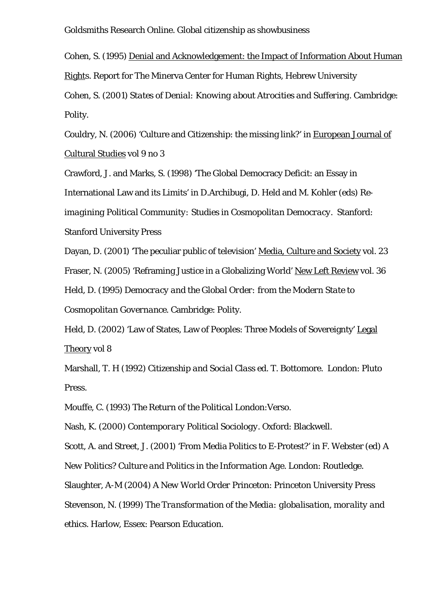Cohen, S. (1995) Denial and Acknowledgement: the Impact of Information About Human Rights. Report for The Minerva Center for Human Rights, Hebrew University

Cohen, S. (2001) *States of Denial: Knowing about Atrocities and Suffering*. Cambridge: Polity.

Couldry, N. (2006) 'Culture and Citizenship: the missing link?' in European Journal of Cultural Studies vol 9 no 3

Crawford, J. and Marks, S. (1998) 'The Global Democracy Deficit: an Essay in

International Law and its Limits' in D.Archibugi, D. Held and M. Kohler (eds) *Re-*

*imagining Political Community: Studies in Cosmopolitan Democracy.* Stanford:

Stanford University Press

Dayan, D. (2001) 'The peculiar public of television' Media, Culture and Society vol. 23

Fraser, N. (2005) 'Reframing Justice in a Globalizing World' New Left Review vol. 36

Held, D. (1995) *Democracy and the Global Order: from the Modern State to Cosmopolitan Governance*. Cambridge: Polity.

Held, D. (2002) 'Law of States, Law of Peoples: Three Models of Sovereignty' Legal Theory vol 8

Marshall, T. H (1992) *Citizenship and Social Class* ed. T. Bottomore. London: Pluto Press.

Mouffe, C. (1993) *The Return of the Political* London:Verso.

Nash, K. (2000) *Contemporary Political Sociology*. Oxford: Blackwell.

Scott, A. and Street, J. (2001) 'From Media Politics to E-Protest?' in F. Webster (ed) *A New Politics? Culture and Politics in the Information Age*. London: Routledge.

Slaughter, A-M (2004) *A New World Order* Princeton: Princeton University Press Stevenson, N. (1999) *The Transformation of the Media: globalisation, morality and ethics.* Harlow, Essex: Pearson Education.